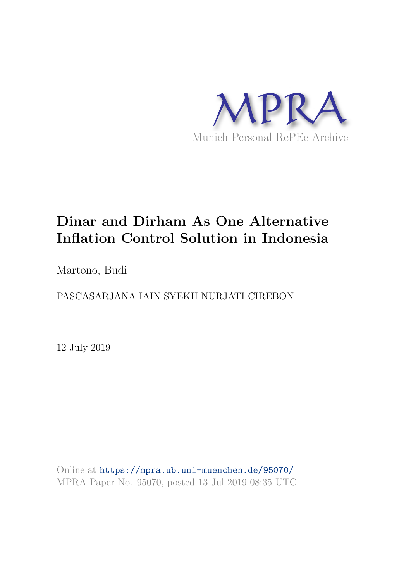

# **Dinar and Dirham As One Alternative Inflation Control Solution in Indonesia**

Martono, Budi

PASCASARJANA IAIN SYEKH NURJATI CIREBON

12 July 2019

Online at https://mpra.ub.uni-muenchen.de/95070/ MPRA Paper No. 95070, posted 13 Jul 2019 08:35 UTC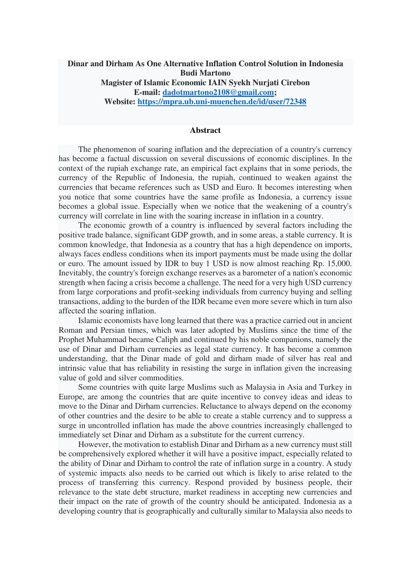# **Dinar and Dirham As One Alternative Inflation Control Solution in Indonesia Budi Martono Magister of Islamic Economic IAIN Syekh Nurjati Cirebon**

**E-mail: [dadotmartono2108@gmail.com;](mailto:dadotmartono2108@gmail.com) Website:<https://mpra.ub.uni-muenchen.de/id/user/72348>**

#### **Abstract**

The phenomenon of soaring inflation and the depreciation of a country's currency has become a factual discussion on several discussions of economic disciplines. In the context of the rupiah exchange rate, an empirical fact explains that in some periods, the currency of the Republic of Indonesia, the rupiah, continued to weaken against the currencies that became references such as USD and Euro. It becomes interesting when you notice that some countries have the same profile as Indonesia, a currency issue becomes a global issue. Especially when we notice that the weakening of a country's currency will correlate in line with the soaring increase in inflation in a country.

The economic growth of a country is influenced by several factors including the positive trade balance, significant GDP growth, and in some areas, a stable currency. It is common knowledge, that Indonesia as a country that has a high dependence on imports, always faces endless conditions when its import payments must be made using the dollar or euro. The amount issued by IDR to buy 1 USD is now almost reaching Rp. 15,000. Inevitably, the country's foreign exchange reserves as a barometer of a nation's economic strength when facing a crisis become a challenge. The need for a very high USD currency from large corporations and profit-seeking individuals from currency buying and selling transactions, adding to the burden of the IDR became even more severe which in turn also affected the soaring inflation.

Islamic economists have long learned that there was a practice carried out in ancient Roman and Persian times, which was later adopted by Muslims since the time of the Prophet Muhammad became Caliph and continued by his noble companions, namely the use of Dinar and Dirham currencies as legal state currency. It has become a common understanding, that the Dinar made of gold and dirham made of silver has real and intrinsic value that has reliability in resisting the surge in inflation given the increasing value of gold and silver commodities.

Some countries with quite large Muslims such as Malaysia in Asia and Turkey in Europe, are among the countries that are quite incentive to convey ideas and ideas to move to the Dinar and Dirham currencies. Reluctance to always depend on the economy of other countries and the desire to be able to create a stable currency and to suppress a surge in uncontrolled inflation has made the above countries increasingly challenged to immediately set Dinar and Dirham as a substitute for the current currency.

However, the motivation to establish Dinar and Dirham as a new currency must still be comprehensively explored whether it will have a positive impact, especially related to the ability of Dinar and Dirham to control the rate of inflation surge in a country. A study of systemic impacts also needs to be carried out which is likely to arise related to the process of transferring this currency. Respond provided by business people, their relevance to the state debt structure, market readiness in accepting new currencies and their impact on the rate of growth of the country should be anticipated. Indonesia as a developing country that is geographically and culturally similar to Malaysia also needs to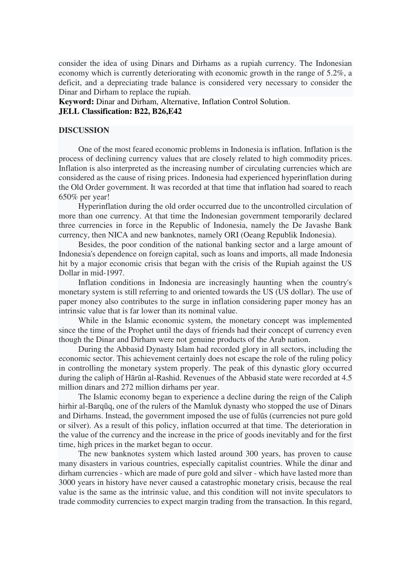consider the idea of using Dinars and Dirhams as a rupiah currency. The Indonesian economy which is currently deteriorating with economic growth in the range of 5.2%, a deficit, and a depreciating trade balance is considered very necessary to consider the Dinar and Dirham to replace the rupiah.

**Keyword:** Dinar and Dirham, Alternative, Inflation Control Solution. **JELL Classification: B22, B26,E42** 

## **DISCUSSION**

One of the most feared economic problems in Indonesia is inflation. Inflation is the process of declining currency values that are closely related to high commodity prices. Inflation is also interpreted as the increasing number of circulating currencies which are considered as the cause of rising prices. Indonesia had experienced hyperinflation during the Old Order government. It was recorded at that time that inflation had soared to reach 650% per year!

Hyperinflation during the old order occurred due to the uncontrolled circulation of more than one currency. At that time the Indonesian government temporarily declared three currencies in force in the Republic of Indonesia, namely the De Javashe Bank currency, then NICA and new banknotes, namely ORI (Oeang Republik Indonesia).

Besides, the poor condition of the national banking sector and a large amount of Indonesia's dependence on foreign capital, such as loans and imports, all made Indonesia hit by a major economic crisis that began with the crisis of the Rupiah against the US Dollar in mid-1997.

Inflation conditions in Indonesia are increasingly haunting when the country's monetary system is still referring to and oriented towards the US (US dollar). The use of paper money also contributes to the surge in inflation considering paper money has an intrinsic value that is far lower than its nominal value.

While in the Islamic economic system, the monetary concept was implemented since the time of the Prophet until the days of friends had their concept of currency even though the Dinar and Dirham were not genuine products of the Arab nation.

During the Abbasid Dynasty Islam had recorded glory in all sectors, including the economic sector. This achievement certainly does not escape the role of the ruling policy in controlling the monetary system properly. The peak of this dynastic glory occurred during the caliph of Hārūn al-Rashid. Revenues of the Abbasid state were recorded at 4.5 million dinars and 272 million dirhams per year.

The Islamic economy began to experience a decline during the reign of the Caliph hirhir al-Barqūq, one of the rulers of the Mamluk dynasty who stopped the use of Dinars and Dirhams. Instead, the government imposed the use of fulūs (currencies not pure gold or silver). As a result of this policy, inflation occurred at that time. The deterioration in the value of the currency and the increase in the price of goods inevitably and for the first time, high prices in the market began to occur.

The new banknotes system which lasted around 300 years, has proven to cause many disasters in various countries, especially capitalist countries. While the dinar and dirham currencies - which are made of pure gold and silver - which have lasted more than 3000 years in history have never caused a catastrophic monetary crisis, because the real value is the same as the intrinsic value, and this condition will not invite speculators to trade commodity currencies to expect margin trading from the transaction. In this regard,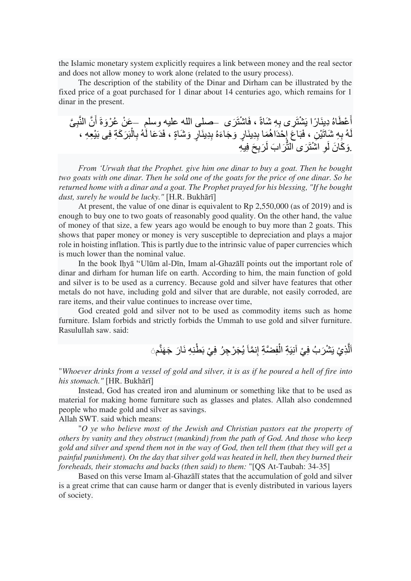the Islamic monetary system explicitly requires a link between money and the real sector and does not allow money to work alone (related to the usury process).

The description of the stability of the Dinar and Dirham can be illustrated by the fixed price of a goat purchased for 1 dinar about 14 centuries ago, which remains for 1 dinar in the present.

أَعْطَاهُ دِينَارًا بَشْنَر*ى بِ*هِ شَاةً ، فَاشْنَزَى ۚ حَمَلَى الله عليه وسلمٍ ۚ حَمْنُ عُرْوَةَ أَنَّ النَّبِيَّ َ َ لَهُ بِهِ شَاتَيْنِ ، فَبَاعَ إِحْدَاهُمَا بِدِينَارٍ وَجَاءَهُ بِدِينَارٍ وَشَاةٍ ، فَدَعَا لَهُ بِالْبَرَكَةِ فِى بَيْعِهِ ، ْ **ِ ِ**  $\frac{1}{2}$ ِوَكَانَ لَوِ اشْتَزَى النَّزَابَ لَزَبِحَ فِيهِ

*From 'Urwah that the Prophet. give him one dinar to buy a goat. Then he bought two goats with one dinar. Then he sold one of the goats for the price of one dinar. So he returned home with a dinar and a goat. The Prophet prayed for his blessing, "If he bought dust, surely he would be lucky."* [H.R. Bukhārī]

At present, the value of one dinar is equivalent to Rp 2,550,000 (as of 2019) and is enough to buy one to two goats of reasonably good quality. On the other hand, the value of money of that size, a few years ago would be enough to buy more than 2 goats. This shows that paper money or money is very susceptible to depreciation and plays a major role in hoisting inflation. This is partly due to the intrinsic value of paper currencies which is much lower than the nominal value.

In the book Iḥyā ''Ulūm al-Dīn, Imam al-Ghazālī points out the important role of dinar and dirham for human life on earth. According to him, the main function of gold and silver is to be used as a currency. Because gold and silver have features that other metals do not have, including gold and silver that are durable, not easily corroded, are rare items, and their value continues to increase over time,

God created gold and silver not to be used as commodity items such as home furniture. Islam forbids and strictly forbids the Ummah to use gold and silver furniture. Rasulullah saw. said:

> ٱلَّذِيْ يَشْرَبُ فِيْ آنِيَةِ الْفِضَّةِ إِنمَّاَ يُجَرْجِرُ فِيْ بَطَّنِهِ نَارَ جَهَنَّمَ َ ْ

"*Whoever drinks from a vessel of gold and silver, it is as if he poured a hell of fire into his stomach."* [HR. Bukhārī]

Instead, God has created iron and aluminum or something like that to be used as material for making home furniture such as glasses and plates. Allah also condemned people who made gold and silver as savings. Allah SWT. said which means:

"*O ye who believe most of the Jewish and Christian pastors eat the property of others by vanity and they obstruct (mankind) from the path of God. And those who keep gold and silver and spend them not in the way of God, then tell them (that they will get a painful punishment). On the day that silver gold was heated in hell, then they burned their foreheads, their stomachs and backs (then said) to them:* "[QS At-Taubah: 34-35]

Based on this verse Imam al-Ghazālī states that the accumulation of gold and silver is a great crime that can cause harm or danger that is evenly distributed in various layers of society.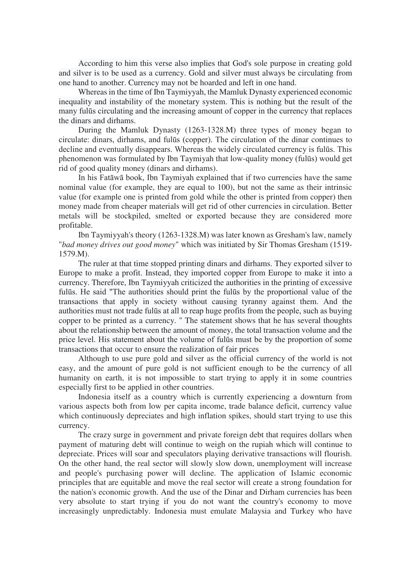According to him this verse also implies that God's sole purpose in creating gold and silver is to be used as a currency. Gold and silver must always be circulating from one hand to another. Currency may not be hoarded and left in one hand.

Whereas in the time of Ibn Taymiyyah, the Mamluk Dynasty experienced economic inequality and instability of the monetary system. This is nothing but the result of the many fulūs circulating and the increasing amount of copper in the currency that replaces the dinars and dirhams.

During the Mamluk Dynasty (1263-1328.M) three types of money began to circulate: dinars, dirhams, and fulūs (copper). The circulation of the dinar continues to decline and eventually disappears. Whereas the widely circulated currency is fulūs. This phenomenon was formulated by Ibn Taymiyah that low-quality money (fulūs) would get rid of good quality money (dinars and dirhams).

In his Fatāwā book, Ibn Taymiyah explained that if two currencies have the same nominal value (for example, they are equal to 100), but not the same as their intrinsic value (for example one is printed from gold while the other is printed from copper) then money made from cheaper materials will get rid of other currencies in circulation. Better metals will be stockpiled, smelted or exported because they are considered more profitable.

Ibn Taymiyyah's theory (1263-1328.M) was later known as Gresham's law, namely "*bad money drives out good money*" which was initiated by Sir Thomas Gresham (1519- 1579.M).

The ruler at that time stopped printing dinars and dirhams. They exported silver to Europe to make a profit. Instead, they imported copper from Europe to make it into a currency. Therefore, Ibn Taymiyyah criticized the authorities in the printing of excessive fulūs. He said "The authorities should print the fulūs by the proportional value of the transactions that apply in society without causing tyranny against them. And the authorities must not trade fulūs at all to reap huge profits from the people, such as buying copper to be printed as a currency. " The statement shows that he has several thoughts about the relationship between the amount of money, the total transaction volume and the price level. His statement about the volume of fulūs must be by the proportion of some transactions that occur to ensure the realization of fair prices

Although to use pure gold and silver as the official currency of the world is not easy, and the amount of pure gold is not sufficient enough to be the currency of all humanity on earth, it is not impossible to start trying to apply it in some countries especially first to be applied in other countries.

Indonesia itself as a country which is currently experiencing a downturn from various aspects both from low per capita income, trade balance deficit, currency value which continuously depreciates and high inflation spikes, should start trying to use this currency.

The crazy surge in government and private foreign debt that requires dollars when payment of maturing debt will continue to weigh on the rupiah which will continue to depreciate. Prices will soar and speculators playing derivative transactions will flourish. On the other hand, the real sector will slowly slow down, unemployment will increase and people's purchasing power will decline. The application of Islamic economic principles that are equitable and move the real sector will create a strong foundation for the nation's economic growth. And the use of the Dinar and Dirham currencies has been very absolute to start trying if you do not want the country's economy to move increasingly unpredictably. Indonesia must emulate Malaysia and Turkey who have